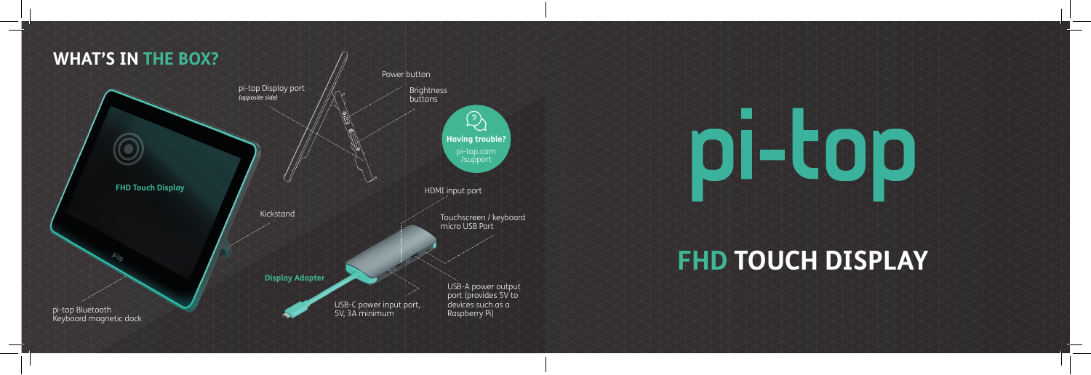



## **FHD TOUCH DISPLAY**